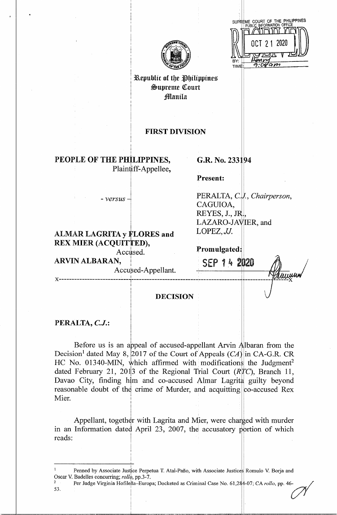| BY:  | SUPREME COURT OF THE PHILIPPINES<br>PUBLIC INFORMATION OFFICE<br>OCT 21 2020 |
|------|------------------------------------------------------------------------------|
| TIME |                                                                              |
|      |                                                                              |



Kepublic of the Philippines  $&$ upreme Court ,1Manila

## FIRST DIVISION

**PEOPLE OF THE PHILIPPINES,**  Plaintiff-Appellee,

I I

### G.R. No. 233194

**Present:** 

*-versus* l

# **ALMAR LAGRITA y FLORES and** REX MIER (ACQUITTED),

I

I

I

# PERALTA, C.V., *Chairperson*, CAGUIOA, REYES,  $J., JR$ . LAZARO-JAVIER, and *LOPEZ,JJ.*

Accused. **Promulgated:** 

ARVIN ALBARAN, SEP 14 2020 Accused-Appellant.  $\mathcal{H}_{\text{max}}$ 1 I September 1983 - Paul Berlin and September 1983 - Paul Berlin and September 1983 - Paul Berlin and The Pos **X** i **X DECISION** 

**PERALTA, C.J.:** 

Before us is an appeal of accused-appellant Arvin Albaran from the Decision<sup>1</sup> dated May 8, 2017 of the Court of Appeals  $(CA)$  in CA-G.R. CR HC No. 01340-MIN, which affirmed with modifications the Judgment<sup>2</sup> dated February 21, 201<sup>3</sup> of the Regional Trial Court *(RTC)*, Branch 11, Davao City, finding him and co-accused Almar Lagrita guilty beyond reasonable doubt of the crime of Murder, and acquitting  $|$  co-accused Rex Mier. I

Appellant, together with Lagrita and Mier, were charged with murder in an Information dated April 23, 2007, the accusatory portion of which reads:

<sup>2</sup> Per Judge Virginia Hofilena-Europa; Docketed as Criminal Case No. 61,284-07; CA *rollo*, pp. 46-53. 53. In the set of  $\mathbb{R}^2$ 

<sup>&</sup>lt;sup>1</sup> Penned by Associate Justice Perpetua T. Atal-Paño, with Associate Justices Romulo V. Borja and Oscar V. Badelles concurring; *rollo*, pp.3-7.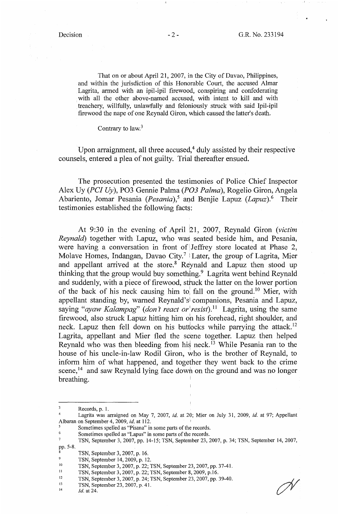That on or about April 21, 2007, in the City of Davao, Philippines, and within the jurisdiction of this Honorable Court, the accused Almar Lagrita, armed with an ipil-ipil firewood, conspiring and confederating with all the other above-named accused, with intent to kill and with treachery, willfully, unlawfully and feloniously struck with said Ipil-ipil firewood the nape of one Reynald Giron, which caused the latter's death.

Contrary to law.<sup>3</sup>

Upon arraignment, all three accused, $4$  duly assisted by their respective counsels, entered a plea of not guilty. Trial thereafter ensued.

The prosecution presented the testimonies of Police Chief Inspector Alex Uy *(PC] Uy),* PO3 Gennie Palma *(P03 Palma),* Rogelio Giron, Angela Abariento, Jomar Pesania *(Pesania)*,<sup>5</sup> and Benjie Lapuz *(Lapuz)*.<sup>6</sup> Their testimonies established the following facts:

At 9:30 in the evening of April 21, 2007, Reynald Giron (victim *Reynald)* together with Lapuz, who was seated beside him, and Pesania, were having a conversation in front of Jeffrey store located at Phase 2, Molave Homes, Indangan, Davao City.<sup>7</sup> Later, the group of Lagrita, Mier and appellant arrived at the store.<sup>8</sup> Reynald and Lapuz then stood up thinking that the group would buy something.<sup>9</sup> Lagrita went behind Reynald and suddenly, with a piece of firewood, struck the latter on the lower portion of the back of his neck causing him to fall on the ground.<sup>10</sup> Mier, with appellant standing by, warned Reynald'sl companions, Pesania and Lapuz, saying "*ayaw Kalampag*" (*don't react or* resist).<sup>11</sup> Lagrita, using the same firewood, also struck Lapuz hitting him on his forehead, right shoulder, and neck. Lapuz then fell down on his buttocks while parrying the attack.<sup>12</sup> Lagrita, appellant and Mier fled the scene together. Lapuz then helped Reynald who was then bleeding from his neck.<sup> $13$ </sup> While Pesania ran to the house of his uncle-in-law Rodil Giron, who is the brother of Reynald, to inform him of what happened, and together they went back to the crime scene,<sup>14</sup> and saw Reynald lying face down on the ground and was no longer breathing. <sup>1</sup>

- <sup>5</sup>Sometimes spelled as "Pisana" in some parts of the records.
- Sometimes spelled as "Lapus" in some parts of the records.

Records, p. 1.

<sup>4</sup>Lagrita was arraigned on May 7, 2007, *id.* at 20; Mier on July 31, 2009, *id.* at 97; Appellant Albaran on September 4, 2009, *id.* at 112. <sup>1</sup>

<sup>7</sup>TSN, September 3, 2007, pp. 14-15; TSN, September 23, 2007, p. 34; TSN, September 14, 2007, pp. 5-8.

<sup>&</sup>lt;sup>8</sup> TSN, September 3, 2007, p. 16.<br><sup>9</sup> TSN, September 14, 2009, p. 12.

<sup>&</sup>lt;sup>10</sup> TSN, September 3, 2007, p. 22; TSN, September 23, 2007, pp. 37-41.<br>
<sup>11</sup> TSN, September 3, 2007, p. 22; TSN, September 8, 2009, p.16.<br>
<sup>12</sup> TSN, September 3, 2007, p. 24; TSN, September 23, 2007, pp. 39-40.<br>
<sup>13</sup> ISN,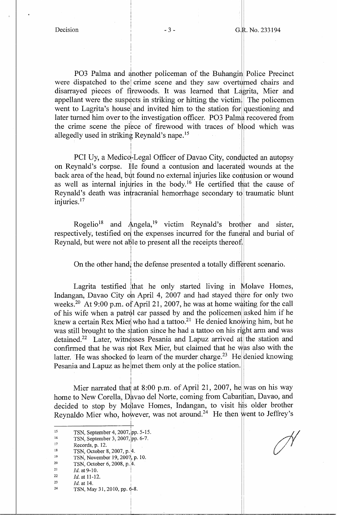PO3 Palma and another policeman of the Buhangin Police Precinct were dispatched to the crime scene and they saw overturned chairs and disarrayed pieces of firewoods. It was learned that Lagrita, Mier and appellant were the suspects in striking or hitting the victim. The policemen went to Lagrita's house and invited him to the station for questioning and later turned him over to the investigation officer. PO3 Palma recovered from the crime scene the piece of firewood with traces of blood which was allegedly used in striking Reynald's nape. <sup>15</sup>

PCI Uy, a Medico-Legal Officer of Davao City, conducted an autopsy on Reynald's corpse. He found a contusion and lacerated wounds at the back area of the head, but found no external injuries like contusion or wound as well as internal injuries in the body.<sup>16</sup> He certified that the cause of Reynald's death was intracranial hemorrhage secondary to traumatic blunt injuries.<sup>17</sup>

I I

I

I

I I

Rogelio<sup>18</sup> and Angela,<sup>19</sup> victim Reynald's brother and sister, respectively, testified on the expenses incurred for the funeral and burial of Reynald, but were not able to present all the receipts thereof.

On the other hand, the defense presented a totally different scenario.

Lagrita testified that he only started living in Molave Homes, Indangan, Davao City on April 4, 2007 and had stayed there for only two weeks.<sup>20</sup> At 9:00 p.m. of April 21, 2007, he was at home waiting for the call of his wife when a patrol car passed by and the policemen asked him if he knew a certain Rex Mier who had a tattoo.<sup>21</sup> He denied knowing him, but he was still brought to the station since he had a tattoo on his right arm and was detained.<sup>22</sup> Later, witnesses Pesania and Lapuz arrived at the station and confirmed that he was not Rex Mier, but claimed that he was also with the latter. He was shocked to learn of the murder charge.<sup>23</sup> He denied knowing Pesania and Lapuz as he met them only at the police station.

I Mier narrated that at 8:00 p.m. of April 21, 2007, he was on his way home to New Corella, Davao del Norte, coming from Cabantian, Davao, and decided to stop by Molave Homes, Indangan, to visit his older brother Reynaldo Mier who, however, was not around.<sup>24</sup> He then went to Jeffrey's

- 
- 
- 19 TSN, November 19, 2007, p. 10.<br>
<sup>20</sup> TSN, October 6, 2008, p. 4.<br>
<sup>21</sup> *Id.* at 9-10.<br>
<sup>22</sup> *Id.* at 11-12
- 

22 *Id.* at 11-12.<br>
23 *Id.* at 14.

<sup>15</sup> TSN, September 4, 2007, pp. 5-15.<br>
<sup>16</sup> TSN, September 3, 2007, pp. 6-7.<br>
<sup>17</sup> Records, p. 12.<br>
<sup>18</sup> TSN, October 8, 2007, p. 4.

<sup>&</sup>lt;sup>16</sup> TSN, September 3, 2007, pp. 6-7.<br>
Records, p. 12.<br>
<sup>17</sup> TSN, October 8, 2007, p. 4.

TSN, May 31, 2010, pp. 6-8.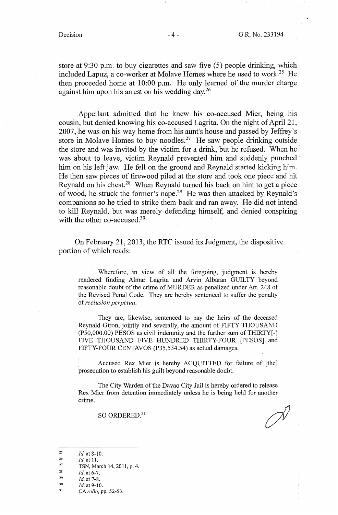store at 9:30 p.m. to buy cigarettes and saw five (5) people drinking, which included Lapuz, a co-worker at Molave Homes where he used to work.<sup>25</sup> He then proceeded home at 10:00 p.m. He only learned of the murder charge against him upon his arrest on his wedding day. $^{26}$ 

Appellant admitted that he knew his co-accused Mier, being his cousin, but denied knowing his co-accused Lagrita. On the night of April 21, 2007, he was on his way home from his aunt's house and passed by Jeffrey's store in Molave Homes to buy noodles.<sup>27</sup> He saw people drinking outside the store and was invited by the victim for a drink, but he refused. When he was about to leave, victim Reynald prevented him and suddenly punched him on his left jaw. He fell on the ground and Reynald started kicking him. He then saw pieces of firewood piled at the store and took one piece and hit Reynald on his chest.28 When Reynald turned his back on him to get a piece of wood, he struck the former's nape.29 He was then attacked by Reynald's companions so he tried to strike them back and ran away. He did not intend to kill Reynald, but was merely defending himself, and denied conspiring with the other co-accused.<sup>30</sup>

On February 21, 2013, the RTC issued its Judgment, the dispositive portion of which reads:

Wherefore, in view of all the foregoing, judgment is hereby rendered finding Almar Lagrita and Arvin Albaran GUILTY beyond reasonable doubt of the crime of MURDER as penalized under Art. 248 of the Revised Penal Code. They are hereby sentenced to suffer the penalty of *reclusion perpetua.* 

They are, likewise, sentenced to pay the heirs of the deceased Reynald Giron, jointly and severally, the amount of FIFTY THOUSAND  $(P50,000.00)$  PESOS as civil indemnity and the further sum of THIRTY $[-]$ FIVE THOUSAND FIVE HUNDRED THIRTY-FOUR [PESOS] and FIFTY-FOUR CENTAVOS (P35,534.54) as actual damages.

Accused Rex Mier is hereby ACQUITTED for failure of [the] prosecution to establish his guilt beyond reasonable doubt.

The City Warden of the Davao City Jail is hereby ordered to release Rex Mier from detention immediately unless he is being held for another crime.

SO ORDERED.<sup>31</sup>

28 *Id.* at 6-7.

30 *Id.* at 9-10.

<sup>25</sup>  *Id.* at 8-10.

<sup>26</sup>  *Id.* at 11.

<sup>27</sup>  TSN, March 14, 2011, p. 4.

<sup>29</sup> *Id.* at 7-8.

<sup>31</sup>  CA *rollo,* pp. 52-53.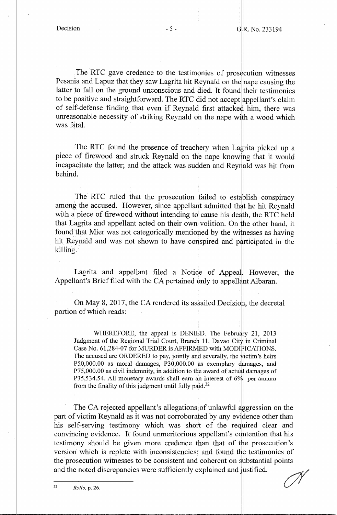I

I I

I I

I I I

The RTC gave credence to the testimonies of prosecution witnesses Pesania and Lapuz that they saw Lagrita hit Reynald on the nape causing the latter to fall on the ground unconscious and died. It found their testimonies to be positive and straightforward. The RTC did not accept appellant's claim of self-defense finding that even if Reynald first attacked him, there was unreasonable necessity of striking Reynald on the nape with a wood which was fatal.

The RTC found the presence of treachery when Lagrita picked up a piece of firewood and struck Reynald on the nape knowing that it would incapacitate the latter; and the attack was sudden and Reynald was hit from behind. <sup>1</sup>

The RTC ruled that the prosecution failed to establish conspiracy among the accused. However, since appellant admitted that he hit Reynald with a piece of firewood without intending to cause his death, the RTC held that Lagrita and appellant acted on their own volition. On the other hand, it found that Mier was not categorically mentioned by the witnesses as having hit Reynald and was not shown to have conspired and participated in the killing.

Lagrita and appellant filed a Notice of Appeal. However, the Appellant's Brief filed with the CA pertained only to appellant Albaran.

On May 8, 2017, the CA rendered its assailed Decision, the decretal portion of which reads:

WHEREFORE, the appeal is DENIED. The February 21, 2013 Judgment of the Regional Trial Court, Branch 11, Davao City in Criminal Case No. 61,284-07 for MURDER is AFFIRMED with MODIFICATIONS. The accused are ORDERED to pay, jointly and severally, the victim's heirs  $P50,000.00$  as moral damages,  $P30,000.00$  as exemplary damages, and P75,000.00 as civil indemnity, in addition to the award of actual damages of P35,534.54. All monetary awards shall earn an interest of 6% per annum from the finality of this judgment until fully paid.<sup>32</sup>

The CA rejected appellant's allegations of unlawful aggression on the part of victim Reynald as it was not corroborated by any evidence other than his self-serving testimony which was short of the required clear and convincing evidence. It found unmeritorious appellant's contention that his testimony should be given more credence than that of the prosecution's version which is replete with inconsistencies; and found the testimonies of the prosecution witnesses to be consistent and coherent on substantial points the prosecution witnesses to be consistencies, and found the resultionnes of<br>the prosecution witnesses to be consistent and coherent on substantial points<br>and the noted discrepancies were sufficiently explained and justifi

I I I I'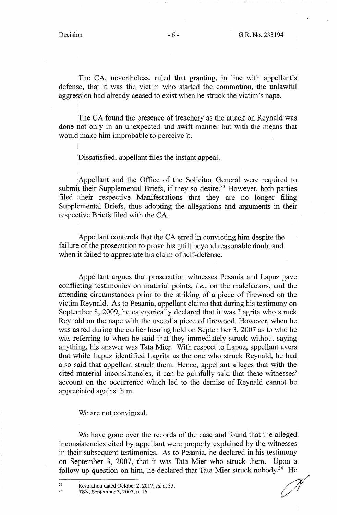The CA, nevertheless, ruled that granting, in line with appellant's defense, that it was the victim who started the commotion, the unlawful aggression had already ceased to exist when he struck the victim's nape.

The CA found the presence of treachery as the attack on Reynald was done not only in an unexpected and swift manner but with the means that would make him improbable to perceive it.

Dissatisfied, appellant files the instant appeal.

Appellant and the Office of the Solicitor General were required to submit their Supplemental Briefs, if they so desire.<sup>33</sup> However, both parties filed their respective Manifestations that they are no longer filing Supplemental Briefs, thus adopting the allegations and arguments in their respective Briefs filed with the CA.

Appellant contends that the CA erred in convicting him despite the failure of the prosecution to prove his guilt beyond reasonable doubt and when it failed to appreciate his claim of self-defense.

Appellant argues that prosecution witnesses Pesania and Lapuz gave conflicting testimonies on material points, *i.e.,* on the malefactors, and the attending circumstances prior to the striking of a piece of firewood on the victim Reynald. As to Pesania, appellant claims that during his testimony on September 8, 2009, he categorically declared that it was Lagrita who struck Reynald on the nape with the use of a piece of firewood. However, when he was asked during the earlier hearing held on September 3, 2007 as to who he was referring to when he said that they immediately struck without saying anything, his answer was Tata Mier. With respect to Lapuz, appellant avers that while Lapuz identified Lagrita as the one who struck Reynald, he had also said that appellant struck them. Hence, appellant alleges that with the cited material inconsistencies, it can be gainfully said that these witnesses' account on the occurrence which led to the demise of Reynald cannot be appreciated against him.

We are not convinced.

We have gone over the records of the case and found that the alleged inconsistencies cited by appellant were properly explained by the witnesses in their subsequent testimonies. As to Pesania, he declared in his testimony on September 3, 2007, that it was Tata Mier who struck them. Upon a follow up question on him, he declared that Tata Mier struck nobody.<sup>34</sup> He

<sup>33</sup> Resolution dated October 2, 2017, *id.* at 33.<br><sup>34</sup> TSN, September 3, 2007, p. 16.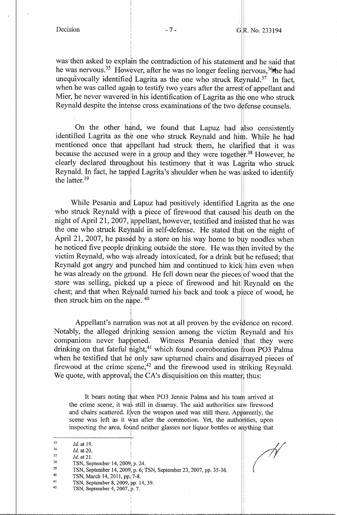was then asked to explain the contradiction of his statement and he said that he was nervous.<sup>35</sup> However, after he was no longer feeling nervous,<sup>36</sup>the had unequivocally identified Lagrita as the one who struck Reynald.<sup>37</sup> In fact, when he was called again to testify two years after the arrest of appellant and Mier, he never wavered in his identification of Lagrita as the one who struck Reynald despite the intehse cross examinations of the two defense counsels.

On the other hand, we found that Lapuz had also consistently identified Lagrita as the one who struck Reynald and him. While he had mentioned once that appellant had struck them, he clarified that it was because the accused were in a group and they were together.<sup>38</sup> However, he clearly declared throughout his testimony that it was Lagrita who struck clearly declared throughout his testimony that it was Lagrita who struck<br>Reynald. In fact, he tapped Lagrita's shoulder when he was asked to identify the latter. $39$ i

I

I !

While Pesania and Lapuz had positively identified Lagrita as the one who struck Reynald with a piece of firewood that caused his death on the night of April 21, 2007, appellant, however, testified and insisted that he was the one who struck Reyhald in self-defense. He stated that on the night of April 21, 2007, he passed by a store on his way home to buy noodles when he noticed five people drinking outside the store. He was then invited by the victim Reynald, who was already intoxicated, for a drink but he refused; that he was already on the ground. He fell down near the pieces of wood that the Reynald got angry and punched him and continued to kick him even when store was selling, picked up a piece of firewood and hit Reynald on the chest; and that when Reynald turned his back and took a piece of wood, he then struck him on the nape.  $40$ 

Appellant's narration was not at all proven by the evidence on record. Notably, the alleged drinking session among the victim Reynald and his companions never happened. Witness Pesania denied that they were drinking on that fateful night,<sup>41</sup> which found corroboration from PO3 Palma when he testified that he only saw upturned chairs and disarrayed pieces of firewood at the crime scene,  $42$  and the firewood used in striking Reynald. We quote, with approval, the CA's disquisition on this matter, thus:

It bears noting that when PO3 Jennie Palma and his team arrived at the crime scene, it was still in disarray. The said authorities saw firewood and chairs scattered. Even the weapon used was still there. Apparently, the scene was left as it was after the commotion. Yet, the authorities, upon inspecting the area, found neither glasses nor liquor bottles or anything that I

- 36 *Id.* at 20.
- 37 Id. at 21.
- 38 TSN, September 14, 2009\ p. 24.
- 39 TSN, September 14, 2009, p. 6; TSN, September 23, 2007, pp. 35-36.
- 40 TSN, March 14, 2011, pp. 7-8.
- 41 TSN, September 8, 2009, pp. 14, 39.
- 42 TSN, September 4, 2007, p. 7.

<sup>35</sup>  *Id.* at 19.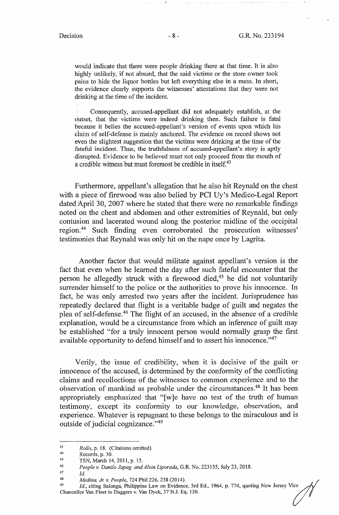would indicate that there were people drinking there at that time. It is also highly unlikely, if not absurd, that the said victims or the store owner took pains to hide the liquor bottles but left everything else in a mess. In short, the evidence clearly supports the witnesses' attestations that they were not drinking at the time of the incident.

Consequently, accused-appellant did not adequately establish, at the outset, that the victims were indeed drinking then. Such failure is fatal because it belies the accused-appellant's version of events upon which his claim of self-defense is mainly anchored. The evidence on record shows not even the slightest suggestion that the victims were drinking at the time of the fateful incident. Thus, the truthfulness of accused-appellant's story is aptly disrupted. Evidence to be believed must not only proceed from the mouth of a credible witness but must foremost be credible in itself.<sup>43</sup>

Furthermore, appellant's allegation that he also hit Reynald on the chest with a piece of firewood was also belied by PCI Uy's Medico-Legal Report dated April 30, 2007 where he stated that there were no remarkable findings noted on the chest and abdomen and other extremities of Reynald, but only contusion and lacerated wound along the posterior midline of the occipital region. 44 Such finding even corroborated the prosecution witnesses' testimonies that Reynald was only hit on the nape once by Lagrita.

Another factor that would militate against appellant's version is the fact that even when he learned the day after such fateful encounter that the person he allegedly struck with a firewood died,<sup>45</sup> he did not voluntarily surrender himself to the police or the authorities to prove his innocence. In fact, he was only arrested two years after the incident. Jurisprudence has repeatedly declared that flight is a veritable badge of guilt and negates the plea of self-defense. 46 The flight of an accused, in the absence of a credible explanation, would be a circumstance from which an inference of guilt may be established "for a truly innocent person would normally grasp the first available opportunity to defend himself and to assert his innocence."47

Verily, the issue of credibility, when it is decisive of the guilt or innocence of the accused, is determined by the conformity of the conflicting claims' and recollections of the witnesses to common experience and to the observation of mankind as probable under the circumstances.<sup>48</sup> It has been appropriately emphasized that "[w]e have no test of the truth of human testimony, except its conformity to our lmowledge, observation, and experience. Whatever is repugnant to these belongs to the miraculous and is outside of judicial cognizance."<sup>49</sup>

<sup>43</sup>*Rollo,* p. 18. (Citations omitted) 44 Records, p. 30. 45 TSN, March 14, 2011, p. 15. 46 *People v. Danilo Japag and Alvin Liporada,* G.R. No. 223155, July 23, 2018.

<sup>47</sup> *Id.* 

<sup>48</sup>  *Medina, Jr. v. People,*  724 Phil 226,238 (2014).

<sup>&</sup>lt;sup>49</sup> *Id.*, citing Salonga, Philippine Law on Evidence, 3rd Ed., 1964, p. 774, quoting New Jersey Vice  $\frac{1}{\sqrt{2}}$ Chancellor Van Fleet in Daggers v. Van Dyck, 37 N.J. Eq. 130.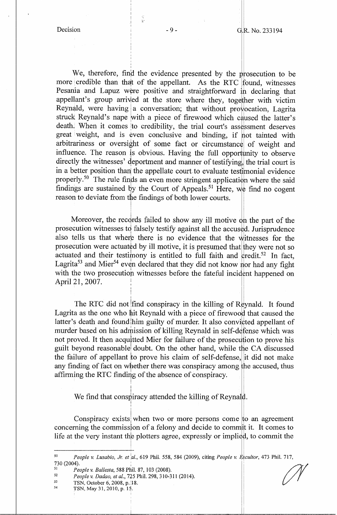In the contract of the contract of the contract of the contract of the contract of the contract of the contract of the contract of the contract of the contract of the contract of the contract of the contract of the contrac

·,, ..

I

We, therefore, find the evidence presented by the prosecution to be more credible than that of the appellant. As the RTC found, witnesses Pesania and Lapuz were positive and straightforward in declaring that appellant's group arrived at the store where they, together with victim Reynald, were having a conversation; that without provocation, Lagrita struck Reynald's nape with a piece of firewood which caused the latter's death. When it comes to credibility, the trial court's assessment deserves great weight, and is even conclusive and binding, if not tainted with arbitrariness or oversight of some fact or circumstance of weight and influence. The reason  $\overline{\text{I}}$  s obvious. Having the full opportunity to observe directly the witnesses' deportment and manner of testifying, the trial court is in a better position than the appellate court to evaluate testimonial evidence properly.<sup>50</sup> The rule finds an even more stringent application where the said findings are sustained by the Court of Appeals.<sup>51</sup> Here, we find no cogent reason to deviate from the findings of both lower courts.

Moreover, the records failed to show any ill motive on the part of the prosecution witnesses to falsely testify against all the accused. Jurisprudence also tells us that where there is no evidence that the witnesses for the prosecution were actuated by ill motive, it is presumed that they were not so actuated and their testimony is entitled to full faith and  $\frac{1}{2}$  redit.<sup>52</sup> In fact, Lagrita<sup>53</sup> and Mier<sup>54</sup> even declared that they did not know nor had any fight with the two prosecution witnesses before the fateful incident happened on April 21, 2007.

The RTC did not find conspiracy in the killing of Reynald. It found Lagrita as the one who hit Reynald with a piece of firewood that caused the latter's death and found him guilty of murder. It also convicted appellant of murder based on his admission of killing Reynald in self-defense which was not proved. It then acquitted Mier for failure of the prosecution to prove his guilt beyond reasonable doubt. On the other hand, while the CA discussed the failure of appellant to prove his claim of self-defense, it did not make any finding of fact on whether there was conspiracy among the accused, thus affirming the RTC finding of the absence of conspiracy.

I We find that conspiracy attended the killing of Reynald.

Conspiracy exists when two or more persons come to an agreement concerning the commission of a felony and decide to commit it. It comes to life at the very instant the plotters agree, expressly or implied, to commit the

I I

<sup>50</sup>*People v. Lusabio, Jr. et~!.,* 619 Phil. 558, 584 (2009), citing *People v. E;,,cultor,* 473 Phil. 717, 730 (2004). 619 Phil. 558, 584 (2009), citing *People v. Escultor*, 473 Phil. 717,<br>87, 103 (2008).

<sup>51</sup>  *People v. Ballesta,* 588 Phil. 87, 103 (2008).

<sup>52</sup> *People v. Dadao, et al.*, 725 Phil. 298, 310-311 (2014).<br>
53 TSN, October 6, 2008, p. 18.<br>
54 TSN, May 31, 2010, p. 15.

TSN, May 31, 2010, p. 15.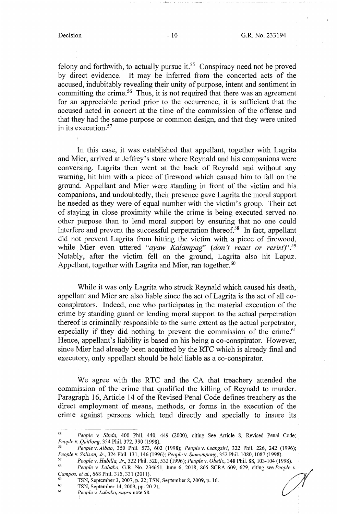*\_t\_* 

 $\ldots$  .  $\blacksquare$ 

felony and forthwith, to actually pursue it.<sup>55</sup> Conspiracy need not be proved by direct evidence. It may be inferred from the concerted acts of the accused, indubitably revealing their unity of purpose, intent and sentiment in committing the crime.<sup>56</sup> Thus, it is not required that there was an agreement for an appreciable period prior to the occurrence, it is sufficient that the accus¢d acted in concert at the time of the commission of the offense and that they had the same purpose or common design, and that they were united in its execution.<sup>57</sup>

In this case, it was established that appellant, together with Lagrita and Mier, arrived at Jeffrey's store where Reynald and his companions were conversing. Lagrita then went at the back of Reynald and without any warning, hit him with a piece of firewood which caused him to fall on the ground. Appellant and Mier were standing in front of the victim and his companions, and undoubtedly, their presence gave Lagrita the moral support he needed as they were of equal number with the victim's group. Their act of staying in close proximity while the crime is being executed served no other purpose than to lend moral support by ensuring that no one could interfere and prevent the successful perpetration thereof.<sup>58</sup> In fact, appellant did not prevent Lagrita from hitting the victim with a piece of firewood, while Mier even uttered *"ayaw Kalampag' (don't react or resist)". <sup>59</sup>* Notably, after the victim fell on the ground, Lagrita also hit Lapuz. Appellant, together with Lagrita and Mier, ran together.<sup>60</sup>

While it was only Lagrita who struck Reynald which caused his death, appellant and Mier are also liable since the act of Lagrita is the act of all coconspirators. Indeed, one who participates in the material execution of the crime by standing guard or lending moral support to the actual perpetration thereof is criminally responsible to the same extent as the actual perpetrator, especially if they did nothing to prevent the commission of the crime.<sup>61</sup> Hence, appellant's liability is based on his being a co-conspirator. However, since Mier had already been acquitted by the RTC which is already final and executory, only appellant should be held liable as a co-conspirator.

We agree with the RTC and the CA that treachery attended the commission of the crime that qualified the killing of Reynald to murder. Paragraph 16, Article 14 of the Revised Penal Code defines treachery as the direct employment of means, methods, or forms in the execution of the crime against persons which tend directly and specially to insure its

<sup>55</sup>*People v. Sinda,* 400 Phil. 440, 449 (2000), citing See Article 8, Revised Penal Code;

*People* v. *Quitlong,* 354 Phil. 372,390 (1998). 56 *People* v. *Albao,* 350 Phil. 573, 602 (1998); *People* v. *Leangsiri,* 322 Phil. 226, 242 (1996); People v. Salison, Jr., 324 Phil. 131, 146 (1996); People v. Sumampong, 352 Phil. 1080, 1087 (1998).<br><sup>57</sup> People v. Hubilla, Jr., 322 Phil. 520, 532 (1996); People v. Obello, 348 Phil. 88, 103-104 (1998).<br><sup>58</sup> People v. La

<sup>&</sup>lt;sup>58</sup> People v. Lababo, G.R. No. 234651, June 6, 2018, 865 SCRA 609, 629, citing see *People v. Campos, et al.*, 668 Phil. 315, 331 (2011).

<sup>&</sup>lt;sup>59</sup> TSN, September 3, 2007, p. 22; TSN, September 8, 2009, p. 16.<br>
<sup>60</sup> TSN, September 14, 2009, pp. 20-21.<br> *People v. Lababo, supra* note 58.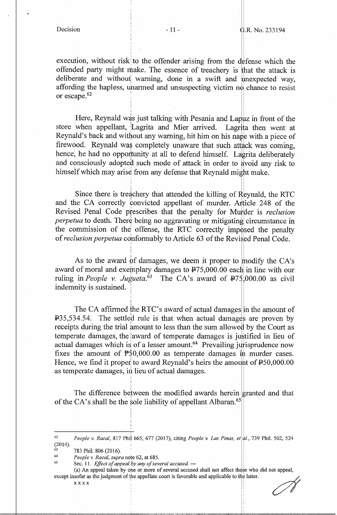execution, without risk to the offender arising from the defense which the offended party might make. The essence of treachery is that the attack is deliberate and without warning, done in a swift and unexpected way, affording the hapless, unarmed and unsuspecting victim no chance to resist or escape.<sup>62</sup>

> I I

Here, Reynald was just talking with Pesania and Lapuz in front of the store when appellant, Lagrita and Mier arrived. Lagrita then went at Reynald's back and without any warning, hit him on his nape with a piece of firewood. Reynald was completely unaware that such attack was coming, hence, he had no opportunity at all to defend himself. Lagrita deliberately and consciously adopted such mode of attack in order to avoid any risk to himself which may arise from any defense that Reynald might make.

Since there is treachery that attended the killing of Reynald, the RTC and the CA correctly convicted appellant of murder. Article 248 of the Revised Penal Code prescribes that the penalty for Murder is *reclusion*<br>nervetua to death. There being no aggravating or mitigating circumstance in *perpetua* to death. There being no aggravating or mitigating circumstance in the commission of the offense, the RTC correctly imposed the penalty of *reclusion perpetua* conformably to Article 63 of the Revised Penal Code.

As to the award of damages, we deem it proper to modify the CA's award of moral and exemplary damages to  $\text{\texttt{P75,000.00}}$  each in line with our ruling in *People v. Jugueta*.<sup> $63$ </sup> The CA's award of  $\overline{P}$ 75,000.00 as civil indemnity is sustained. I

The CA affirmed the RTC's award of actual damages in the amount of  $1.35,534.54$ . The settled rule is that when actual damages are proven by receipts during the trial amount to less than the sum allowed by the Court as receipts during the trial amount to less than the sum allowed by the Court as temperate damages, the award of temperate damages is justified in lieu of actual damages which is of a lesser amount.<sup>64</sup> Prevailing jurisprudence now fixes the amount of  $\overline{P50,000.00}$  as temperate damages in murder cases. Hence, we find it proper to award Reynald's heirs the amount of  $\text{\textsterling}50,000.00$ as temperate damages, in lieu of actual damages.

The difference between the modified awards herein granted and that of the CA's shall be the sole liability of appellant Albaran.<sup>65</sup>

i I

I

I

xx xx

I I

11 ! !

<sup>62</sup>  (2014). *People v. Racal,* 817 Phil 665, 677 (2017), citing *People v. Las Pinas, et* l., 739 Phil. 502, 524

<sup>63</sup>  783 Phil. 806 (2016).

<sup>64</sup>  65 *People v. Racal, supra* note 62, at 685.

Sec. 11. *Effect of appeal by any of several accused.* —

<sup>(</sup>a) An appeal taken by one or more of several accused shall not affect those who did not appeal, except insofar as the judgment of the appellate court is favorable and applicable to the who did not appeal,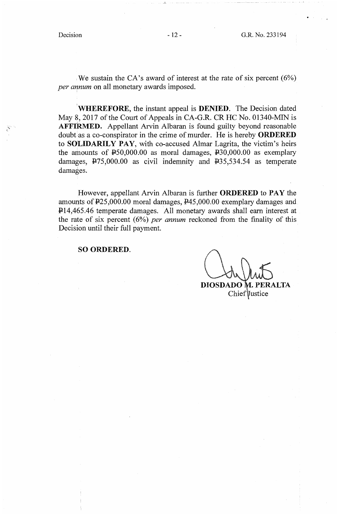We sustain the CA's award of interest at the rate of six percent  $(6\%)$ *per annum* on all monetary awards imposed.

**1 WHEREFORE,** the instant appeal is **DENIED.** The Decision dated May 8, 2017 of the Court of Appeals in CA-G.R. CR HC No. 01340-MIN is **AFFIRMED.** Appellant Arvin Albaran is found guilty beyond reasonable doubt as a co-conspirator in the crime of murder. He is hereby **ORDERED**  to **SOLIDARILY PAY,** with co-accused Almar Lagrita, the victim's heirs the amounts of  $\text{\textsterling}50,000.00$  as moral damages,  $\text{\textsterling}30,000.00$  as exemplary damages,  $\overline{P}$ 75,000.00 as civil indemnity and  $\overline{P}$ 35,534.54 as temperate damages.

However, appellant Arvin Albaran is further **ORDERED** to **PAY** the amounts of P25,000.00 moral damages, P45,000.00 exemplary damages and P14,465.46 temperate damages. All monetary awards shall earn interest at the rate of six percent  $(6%)$  *per annum* reckoned from the finality of this Decision until their full payment.

### **SO ORDERED.**

**DIOSDADO M. PERALTA** 

Chief *ustice*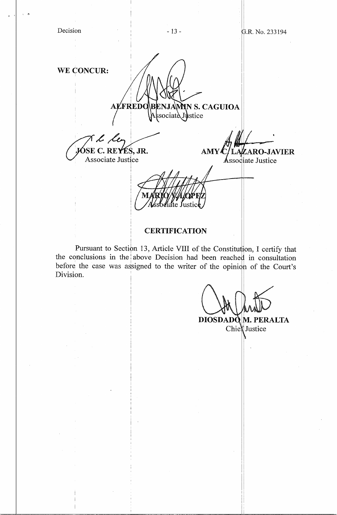| WE CONCUR:               | ALFREDO BENJAMIN S. CAGUIOA               |                          |
|--------------------------|-------------------------------------------|--------------------------|
| M l les                  | Associate Justice<br><b>AMY</b>           | <b>ZARO-JAVIER</b>       |
| <b>Associate Justice</b> | MARIO<br><b>OP EL</b><br>ssbeiate Justice | <b>Associate Justice</b> |
|                          | <b>CERTIFICATION</b>                      |                          |

Pursuant to Section 13, Article VIII of the Constitution, I certify that the conclusions in the above Decision had been reached in consultation before the case was assigned to the writer of the opinion of the Court's Division.

 $DIOSDADQ$ **M. PERALTA** 

Chier Justice